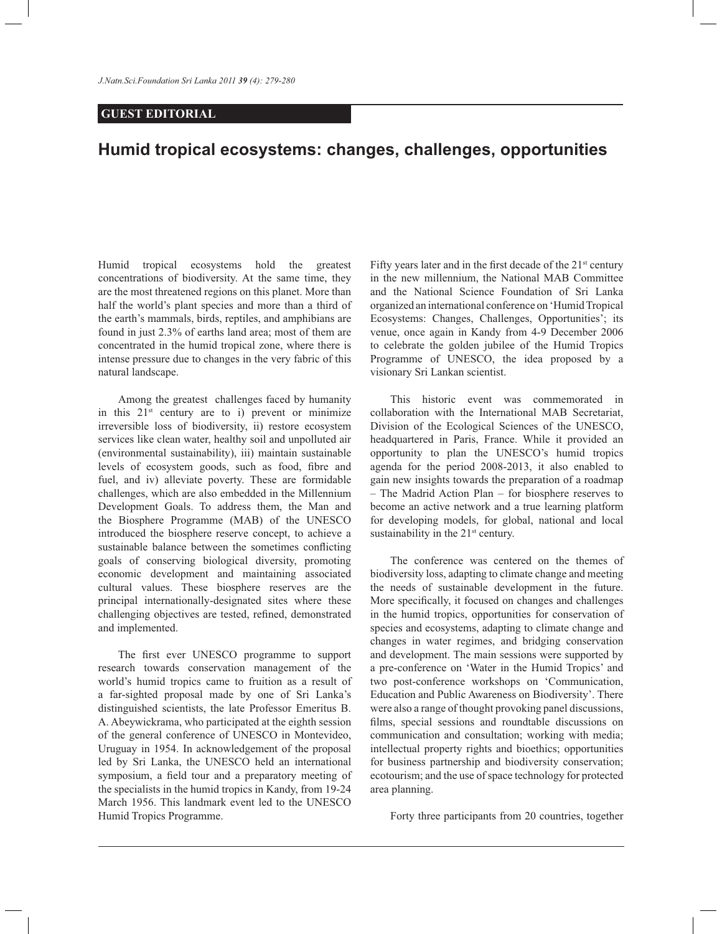## **GUEST EDITORIAL**

## **Humid tropical ecosystems: changes, challenges, opportunities**

Humid tropical ecosystems hold the greatest concentrations of biodiversity. At the same time, they are the most threatened regions on this planet. More than half the world's plant species and more than a third of the earth's mammals, birds, reptiles, and amphibians are found in just 2.3% of earths land area; most of them are concentrated in the humid tropical zone, where there is intense pressure due to changes in the very fabric of this natural landscape.

 Among the greatest challenges faced by humanity in this  $21^{st}$  century are to i) prevent or minimize irreversible loss of biodiversity, ii) restore ecosystem services like clean water, healthy soil and unpolluted air (environmental sustainability), iii) maintain sustainable levels of ecosystem goods, such as food, fibre and fuel, and iv) alleviate poverty. These are formidable challenges, which are also embedded in the Millennium Development Goals. To address them, the Man and the Biosphere Programme (MAB) of the UNESCO introduced the biosphere reserve concept, to achieve a sustainable balance between the sometimes conflicting goals of conserving biological diversity, promoting economic development and maintaining associated cultural values. These biosphere reserves are the principal internationally-designated sites where these challenging objectives are tested, refined, demonstrated and implemented.

 The first ever UNESCO programme to support research towards conservation management of the world's humid tropics came to fruition as a result of a far-sighted proposal made by one of Sri Lanka's distinguished scientists, the late Professor Emeritus B. A. Abeywickrama, who participated at the eighth session of the general conference of UNESCO in Montevideo, Uruguay in 1954. In acknowledgement of the proposal led by Sri Lanka, the UNESCO held an international symposium, a field tour and a preparatory meeting of the specialists in the humid tropics in Kandy, from 19-24 March 1956. This landmark event led to the UNESCO Humid Tropics Programme.

Fifty years later and in the first decade of the  $21<sup>st</sup>$  century in the new millennium, the National MAB Committee and the National Science Foundation of Sri Lanka organized an international conference on 'Humid Tropical Ecosystems: Changes, Challenges, Opportunities'; its venue, once again in Kandy from 4-9 December 2006 to celebrate the golden jubilee of the Humid Tropics Programme of UNESCO, the idea proposed by a visionary Sri Lankan scientist.

 This historic event was commemorated in collaboration with the International MAB Secretariat, Division of the Ecological Sciences of the UNESCO, headquartered in Paris, France. While it provided an opportunity to plan the UNESCO's humid tropics agenda for the period 2008-2013, it also enabled to gain new insights towards the preparation of a roadmap – The Madrid Action Plan – for biosphere reserves to become an active network and a true learning platform for developing models, for global, national and local sustainability in the  $21<sup>st</sup>$  century.

 The conference was centered on the themes of biodiversity loss, adapting to climate change and meeting the needs of sustainable development in the future. More specifically, it focused on changes and challenges in the humid tropics, opportunities for conservation of species and ecosystems, adapting to climate change and changes in water regimes, and bridging conservation and development. The main sessions were supported by a pre-conference on 'Water in the Humid Tropics' and two post-conference workshops on 'Communication, Education and Public Awareness on Biodiversity'. There were also a range of thought provoking panel discussions, films, special sessions and roundtable discussions on communication and consultation; working with media; intellectual property rights and bioethics; opportunities for business partnership and biodiversity conservation; ecotourism; and the use of space technology for protected area planning.

Forty three participants from 20 countries, together